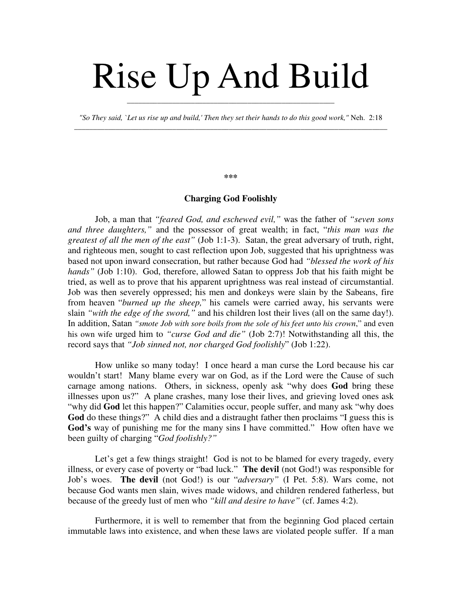## Rise Up And Build

*"So They said, `Let us rise up and build,' Then they set their hands to do this good work,"* Neh. 2:18 \_\_\_\_\_\_\_\_\_\_\_\_\_\_\_\_\_\_\_\_\_\_\_\_\_\_\_\_\_\_\_\_\_\_\_\_\_\_\_\_\_\_\_\_\_\_\_\_\_\_\_\_\_\_\_\_\_\_\_\_\_\_\_\_\_\_\_\_\_\_\_\_\_\_\_\_\_\_\_\_\_\_\_

\_\_\_\_\_\_\_\_\_\_\_\_\_\_\_\_\_\_\_\_\_\_\_\_\_\_\_\_\_\_\_\_\_\_\_\_\_\_\_\_\_\_\_\_\_\_\_\_\_\_\_\_\_\_\_

## **\*\*\***

## **Charging God Foolishly**

Job, a man that *"feared God, and eschewed evil,"* was the father of *"seven sons and three daughters,"* and the possessor of great wealth; in fact, "*this man was the greatest of all the men of the east"* (Job 1:1-3). Satan, the great adversary of truth, right, and righteous men, sought to cast reflection upon Job, suggested that his uprightness was based not upon inward consecration, but rather because God had *"blessed the work of his hands"* (Job 1:10). God, therefore, allowed Satan to oppress Job that his faith might be tried, as well as to prove that his apparent uprightness was real instead of circumstantial. Job was then severely oppressed; his men and donkeys were slain by the Sabeans, fire from heaven "*burned up the sheep,*" his camels were carried away, his servants were slain *"with the edge of the sword,"* and his children lost their lives (all on the same day!). In addition, Satan *"smote Job with sore boils from the sole of his feet unto his crown*," and even his own wife urged him to *"curse God and die"* (Job 2:7)! Notwithstanding all this, the record says that *"Job sinned not, nor charged God foolishly*" (Job 1:22).

How unlike so many today! I once heard a man curse the Lord because his car wouldn't start! Many blame every war on God, as if the Lord were the Cause of such carnage among nations. Others, in sickness, openly ask "why does **God** bring these illnesses upon us?" A plane crashes, many lose their lives, and grieving loved ones ask "why did **God** let this happen?" Calamities occur, people suffer, and many ask "why does **God** do these things?" A child dies and a distraught father then proclaims "I guess this is **God's** way of punishing me for the many sins I have committed." How often have we been guilty of charging "*God foolishly?"*

Let's get a few things straight! God is not to be blamed for every tragedy, every illness, or every case of poverty or "bad luck." **The devil** (not God!) was responsible for Job's woes. **The devil** (not God!) is our "*adversary"* (I Pet. 5:8). Wars come, not because God wants men slain, wives made widows, and children rendered fatherless, but because of the greedy lust of men who *"kill and desire to have"* (cf. James 4:2).

Furthermore, it is well to remember that from the beginning God placed certain immutable laws into existence, and when these laws are violated people suffer. If a man